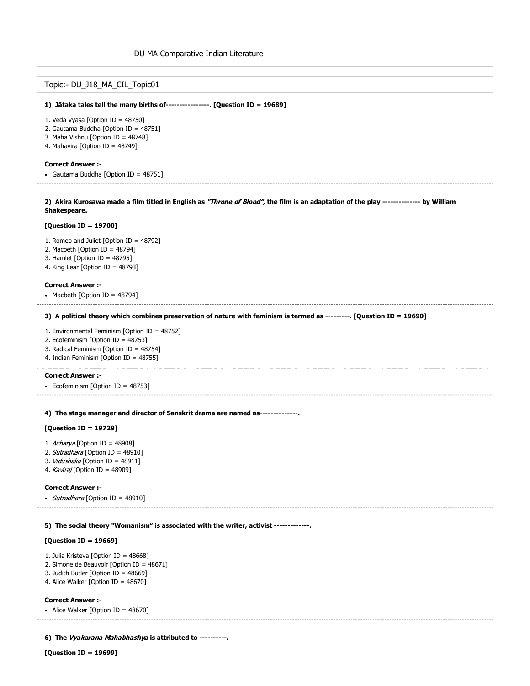| DU MA Comparative Indian Literature                                                                                                                                      |
|--------------------------------------------------------------------------------------------------------------------------------------------------------------------------|
| Topic:- DU_J18_MA_CIL_Topic01                                                                                                                                            |
| 1) Jātaka tales tell the many births of----------------. [Question ID = 19689]                                                                                           |
| 1. Veda Vyasa [Option ID = 48750]<br>2. Gautama Buddha [Option ID = 48751]<br>3. Maha Vishnu [Option ID = 48748]<br>4. Mahavira [Option ID = 48749]                      |
| <b>Correct Answer :-</b><br>• Gautama Buddha [Option ID = 48751]                                                                                                         |
| 2) Akira Kurosawa made a film titled in English as "Throne of Blood", the film is an adaptation of the play -------------- by William<br>Shakespeare.                    |
| [Question ID = 19700]                                                                                                                                                    |
| 1. Romeo and Juliet [Option ID = $48792$ ]<br>2. Macbeth [Option ID = $48794$ ]<br>3. Hamlet [Option ID = $48795$ ]<br>4. King Lear [Option ID = $48793$ ]               |
| <b>Correct Answer :-</b><br>• Macbeth [Option ID = $48794$ ]                                                                                                             |
| 3) A political theory which combines preservation of nature with feminism is termed as ---------. [Question ID = 19690]                                                  |
| 1. Environmental Feminism [Option ID = 48752]<br>2. Ecofeminism [Option ID = 48753]<br>3. Radical Feminism [Option ID = 48754]<br>4. Indian Feminism [Option ID = 48755] |
| <b>Correct Answer :-</b><br>• Ecofeminism [Option ID = 48753]                                                                                                            |
| 4) The stage manager and director of Sanskrit drama are named as--------------                                                                                           |
| [Question ID = 19729]                                                                                                                                                    |
| 1. Acharya [Option ID = 48908]<br>2. Sutradhara [Option ID = 48910]<br>3. Vidushaka [Option ID = 48911]<br>4. Kaviraj [Option ID = 48909]                                |
| <b>Correct Answer :-</b>                                                                                                                                                 |
| • <i>Sutradhara</i> [Option ID = 48910]                                                                                                                                  |
| 5) The social theory "Womanism" is associated with the writer, activist -------------                                                                                    |
| [Question ID = 19669]                                                                                                                                                    |
| 1. Julia Kristeva [Option ID = 48668]<br>2. Simone de Beauvoir [Option ID = 48671]<br>3. Judith Butler [Option ID = $48669$ ]<br>4. Alice Walker [Option ID = 48670]     |
| <b>Correct Answer:-</b><br>• Alice Walker [Option ID = 48670]                                                                                                            |
| 6) The Vyakarana Mahabhashya is attributed to ----------.                                                                                                                |

**[Question ID = 19699]**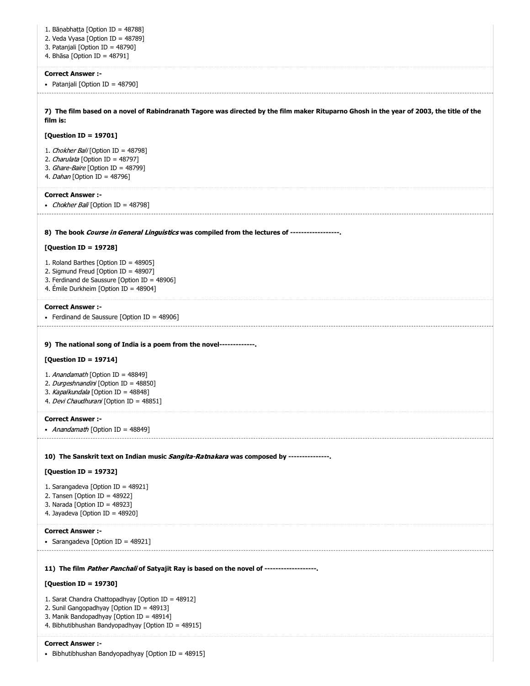| 1. Bānabhatta [Option ID = 48788]                                                                                                          |
|--------------------------------------------------------------------------------------------------------------------------------------------|
| 2. Veda Vyasa [Option ID = 48789]                                                                                                          |
| 3. Patanjali [Option ID = 48790]                                                                                                           |
| 4. Bhāsa [Option ID = 48791]                                                                                                               |
| <b>Correct Answer:-</b>                                                                                                                    |
| • Patanjali [Option ID = 48790]                                                                                                            |
|                                                                                                                                            |
| 7) The film based on a novel of Rabindranath Tagore was directed by the film maker Rituparno Ghosh in the year of 2003, the title of the   |
| film is:                                                                                                                                   |
| [Question ID = 19701]                                                                                                                      |
|                                                                                                                                            |
| 1. Chokher Bali [Option ID = 48798]                                                                                                        |
| 2. Charulata [Option ID = 48797]<br>3. Ghare-Baire [Option ID = 48799]                                                                     |
| 4. Dahan [Option ID = 48796]                                                                                                               |
|                                                                                                                                            |
| <b>Correct Answer:-</b>                                                                                                                    |
| • Chokher Bali [Option ID = 48798]                                                                                                         |
|                                                                                                                                            |
| 8) The book Course in General Linguistics was compiled from the lectures of ------------------                                             |
| [Question ID = 19728]                                                                                                                      |
| 1. Roland Barthes [Option ID = 48905]                                                                                                      |
| 2. Sigmund Freud [Option ID = 48907]                                                                                                       |
| 3. Ferdinand de Saussure [Option ID = 48906]                                                                                               |
| 4. Émile Durkheim [Option ID = 48904]                                                                                                      |
| <b>Correct Answer:-</b>                                                                                                                    |
| • Ferdinand de Saussure [Option ID = 48906]                                                                                                |
| [Question ID = 19714]<br>1. Anandamath [Option ID = 48849]<br>2. Durgeshnandini [Option ID = 48850]<br>3. Kapalkundala [Option ID = 48848] |
| 4. Devi Chaudhurani [Option ID = 48851]                                                                                                    |
| <b>Correct Answer:-</b>                                                                                                                    |
| • <i>Anandamath</i> [Option ID = 48849]                                                                                                    |
|                                                                                                                                            |
| 10) The Sanskrit text on Indian music Sangita-Ratnakara was composed by ---------------                                                    |
| [Question ID = 19732]                                                                                                                      |
|                                                                                                                                            |
| 1. Sarangadeva [Option ID = 48921]<br>2. Tansen [Option ID = $48922$ ]                                                                     |
| 3. Narada [Option ID = 48923]                                                                                                              |
| 4. Jayadeva [Option ID = 48920]                                                                                                            |
| <b>Correct Answer:-</b>                                                                                                                    |
| • Sarangadeva [Option ID = 48921]                                                                                                          |
|                                                                                                                                            |
|                                                                                                                                            |
| 11) The film Pather Panchali of Satyajit Ray is based on the novel of -------------------                                                  |
| [Question ID = 19730]                                                                                                                      |
| 1. Sarat Chandra Chattopadhyay [Option ID = 48912]                                                                                         |
| 2. Sunil Gangopadhyay [Option ID = 48913]                                                                                                  |
| 3. Manik Bandopadhyay [Option ID = 48914]                                                                                                  |
| 4. Bibhutibhushan Bandyopadhyay [Option ID = 48915]                                                                                        |
| <b>Correct Answer:-</b>                                                                                                                    |
|                                                                                                                                            |
| • Bibhutibhushan Bandyopadhyay [Option ID = 48915]                                                                                         |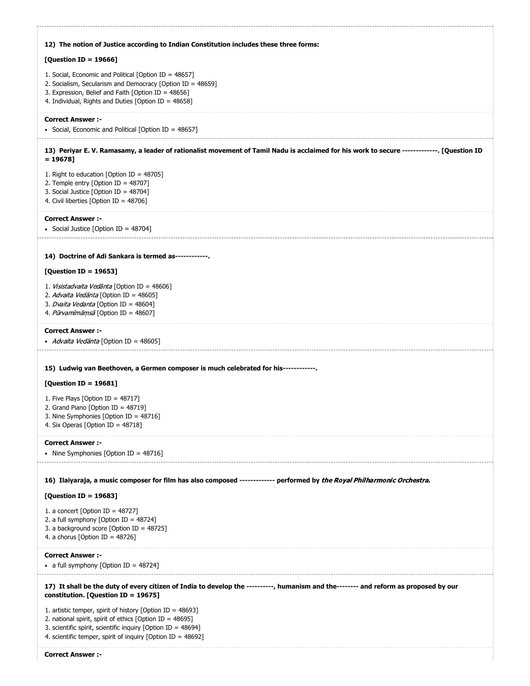| 12) The notion of Justice according to Indian Constitution includes these three forms:                                                                                                                                                                                                                                                                                  |
|-------------------------------------------------------------------------------------------------------------------------------------------------------------------------------------------------------------------------------------------------------------------------------------------------------------------------------------------------------------------------|
| [Question ID = $19666$ ]                                                                                                                                                                                                                                                                                                                                                |
| 1. Social, Economic and Political [Option ID = 48657]<br>2. Socialism, Secularism and Democracy [Option ID = 48659]<br>3. Expression, Belief and Faith [Option ID = 48656]<br>4. Individual, Rights and Duties [Option ID = 48658]                                                                                                                                      |
| <b>Correct Answer :-</b><br>• Social, Economic and Political [Option ID = 48657]                                                                                                                                                                                                                                                                                        |
|                                                                                                                                                                                                                                                                                                                                                                         |
| 13) Periyar E. V. Ramasamy, a leader of rationalist movement of Tamil Nadu is acclaimed for his work to secure -------------. [Question ID<br>$= 19678$ ]                                                                                                                                                                                                               |
| 1. Right to education [Option ID = $48705$ ]<br>2. Temple entry [Option ID = 48707]<br>3. Social Justice [Option ID = 48704]<br>4. Civil liberties [Option ID = 48706]                                                                                                                                                                                                  |
| <b>Correct Answer :-</b><br>• Social Justice [Option ID = 48704]                                                                                                                                                                                                                                                                                                        |
| 14) Doctrine of Adi Sankara is termed as------------.                                                                                                                                                                                                                                                                                                                   |
| [Question ID = 19653]                                                                                                                                                                                                                                                                                                                                                   |
| 1. Visistadvaita Vedānta [Option ID = 48606]<br>2. Advaita Vedānta [Option ID = 48605]<br>3. <i>Dvaita Vedanta</i> [Option ID = 48604]<br>4. Pūrvamīmāmsā [Option ID = 48607]                                                                                                                                                                                           |
| <b>Correct Answer :-</b><br>• <i>Advaita Vedānta</i> [Option ID = 48605]                                                                                                                                                                                                                                                                                                |
| 15) Ludwig van Beethoven, a Germen composer is much celebrated for his------------                                                                                                                                                                                                                                                                                      |
| [Question ID = 19681]                                                                                                                                                                                                                                                                                                                                                   |
| 1. Five Plays [Option ID = $48717$ ]<br>2. Grand Piano [Option ID = 48719]<br>3. Nine Symphonies [Option ID = 48716]<br>4. Six Operas [Option ID = 48718]                                                                                                                                                                                                               |
| <b>Correct Answer:-</b><br>• Nine Symphonies [Option ID = 48716]                                                                                                                                                                                                                                                                                                        |
| 16) Ilaiyaraja, a music composer for film has also composed ------------- performed by the Royal Philharmonic Orchestra.                                                                                                                                                                                                                                                |
| [Question ID = 19683]                                                                                                                                                                                                                                                                                                                                                   |
| 1. a concert [Option ID = $48727$ ]<br>2. a full symphony [Option ID = 48724]<br>3. a background score [Option ID = 48725]<br>4. a chorus [Option ID = $48726$ ]                                                                                                                                                                                                        |
| <b>Correct Answer :-</b><br>• a full symphony [Option ID = $48724$ ]                                                                                                                                                                                                                                                                                                    |
| 17) It shall be the duty of every citizen of India to develop the ----------, humanism and the-------- and reform as proposed by our<br>constitution. [Question ID = 19675]<br>1. artistic temper, spirit of history [Option ID = $48693$ ]<br>2. national spirit, spirit of ethics [Option ID = 48695]<br>3. scientific spirit, scientific inquiry [Option ID = 48694] |
| 4. scientific temper, spirit of inquiry [Option ID = 48692]<br><b>Correct Answer :-</b>                                                                                                                                                                                                                                                                                 |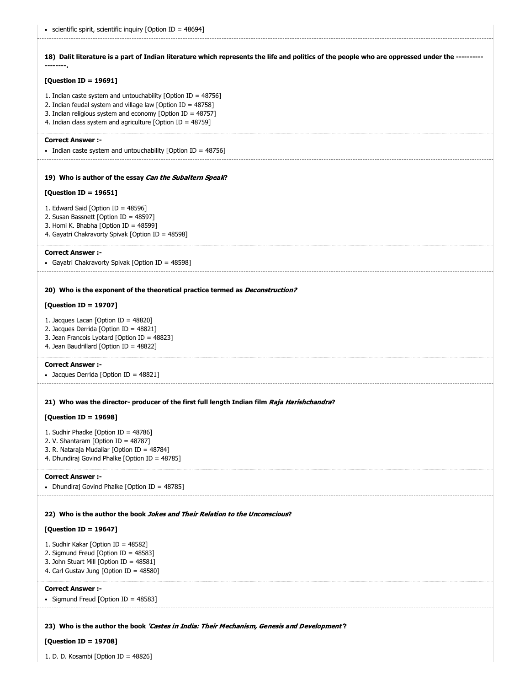**18) Dalit literature is a part of Indian literature which represents the life and politics of the people who are oppressed under the ---------- --------.**

# **[Question ID = 19691]**

- 1. Indian caste system and untouchability [Option ID = 48756]
- 2. Indian feudal system and village law [Option ID = 48758]
- 3. Indian religious system and economy [Option ID = 48757]
- 4. Indian class system and agriculture [Option ID = 48759]

### **Correct Answer :-**

• Indian caste system and untouchability [Option ID = 48756]

### **19) Who is author of the essay** Can the Subaltern Speak**?**

## **[Question ID = 19651]**

- 1. Edward Said [Option ID = 48596]
- 2. Susan Bassnett [Option ID = 48597]
- 3. Homi K. Bhabha [Option ID = 48599]
- 4. Gayatri Chakravorty Spivak [Option ID = 48598]

#### **Correct Answer :-**

Gayatri Chakravorty Spivak [Option ID = 48598]

### **20) Who is the exponent of the theoretical practice termed as** Deconstruction?

# **[Question ID = 19707]**

- 1. Jacques Lacan [Option ID = 48820]
- 2. Jacques Derrida [Option ID = 48821]
- 3. Jean Francois Lyotard [Option ID = 48823]
- 4. Jean Baudrillard [Option ID = 48822]

#### **Correct Answer :-**

• Jacques Derrida [Option ID = 48821]

## **21) Who was the director- producer of the first full length Indian film** Raja Harishchandra**?**

### **[Question ID = 19698]**

- 1. Sudhir Phadke [Option ID = 48786]
- 2. V. Shantaram [Option ID = 48787]
- 3. R. Nataraja Mudaliar [Option ID = 48784]
- 4. Dhundiraj Govind Phalke [Option ID = 48785]

#### **Correct Answer :-**

• Dhundiraj Govind Phalke [Option ID = 48785]

#### **22) Who is the author the book** Jokes and Their Relation to the Unconscious**?**

## **[Question ID = 19647]**

- 1. Sudhir Kakar [Option ID = 48582]
- 2. Sigmund Freud [Option ID = 48583]
- 3. John Stuart Mill [Option ID = 48581]
- 4. Carl Gustav Jung [Option ID = 48580]

#### **Correct Answer :-**

• Sigmund Freud [Option ID = 48583]

# **23) Who is the author the book** 'Castes in India: Their Mechanism, Genesis and Development'**?**

## **[Question ID = 19708]**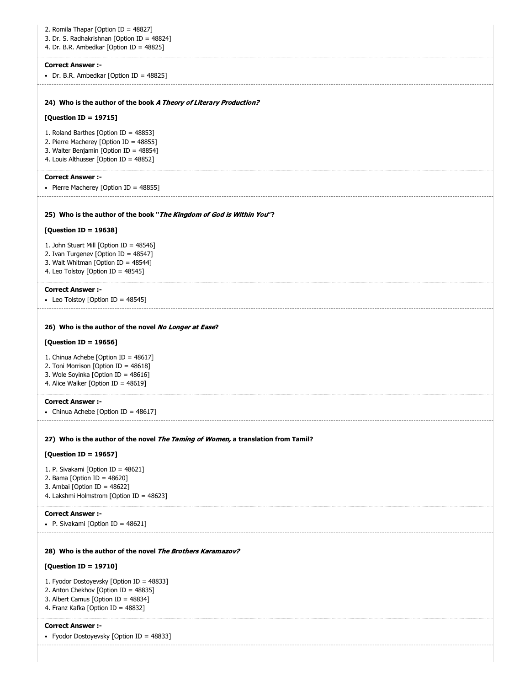| 2. Romila Thapar [Option ID = 48827]<br>3. Dr. S. Radhakrishnan [Option ID = 48824]<br>4. Dr. B.R. Ambedkar [Option ID = 48825]                                     |
|---------------------------------------------------------------------------------------------------------------------------------------------------------------------|
| <b>Correct Answer :-</b><br>• Dr. B.R. Ambedkar [Option ID = $48825$ ]                                                                                              |
| 24) Who is the author of the book A Theory of Literary Production?                                                                                                  |
| [Question ID = 19715]                                                                                                                                               |
| 1. Roland Barthes [Option ID = 48853]<br>2. Pierre Macherey [Option ID = 48855]<br>3. Walter Benjamin [Option ID = 48854]<br>4. Louis Althusser [Option ID = 48852] |
| <b>Correct Answer:-</b><br>• Pierre Macherey [Option ID = 48855]                                                                                                    |
| 25) Who is the author of the book "The Kingdom of God is Within You"?                                                                                               |
| [Question ID = 19638]                                                                                                                                               |
| 1. John Stuart Mill [Option ID = 48546]<br>2. Ivan Turgenev [Option ID = 48547]<br>3. Walt Whitman [Option ID = 48544]<br>4. Leo Tolstoy [Option ID = 48545]        |
| <b>Correct Answer :-</b>                                                                                                                                            |
| • Leo Tolstoy [Option ID = 48545]                                                                                                                                   |
| 26) Who is the author of the novel No Longer at Ease?<br>[Question ID = 19656]                                                                                      |
| 1. Chinua Achebe [Option ID = 48617]                                                                                                                                |
| 2. Toni Morrison [Option ID = 48618]<br>3. Wole Soyinka [Option ID = 48616]<br>4. Alice Walker [Option ID = 48619]                                                  |
| <b>Correct Answer :-</b><br>• Chinua Achebe [Option ID = 48617]                                                                                                     |
| 27) Who is the author of the novel The Taming of Women, a translation from Tamil?                                                                                   |
| [Question ID = 19657]                                                                                                                                               |
| 1. P. Sivakami [Option ID = 48621]<br>2. Bama [Option ID = 48620]<br>3. Ambai [Option ID = 48622]<br>4. Lakshmi Holmstrom [Option ID = 48623]                       |
| <b>Correct Answer :-</b><br>• P. Sivakami [Option ID = $48621$ ]                                                                                                    |
| 28) Who is the author of the novel The Brothers Karamazov?                                                                                                          |
| [Question ID = 19710]                                                                                                                                               |
| 1. Fyodor Dostoyevsky [Option ID = 48833]<br>2. Anton Chekhov [Option ID = 48835]<br>3. Albert Camus [Option ID = 48834]<br>4. Franz Kafka [Option ID = 48832]      |
| <b>Correct Answer :-</b><br>• Fyodor Dostoyevsky [Option ID = 48833]                                                                                                |
|                                                                                                                                                                     |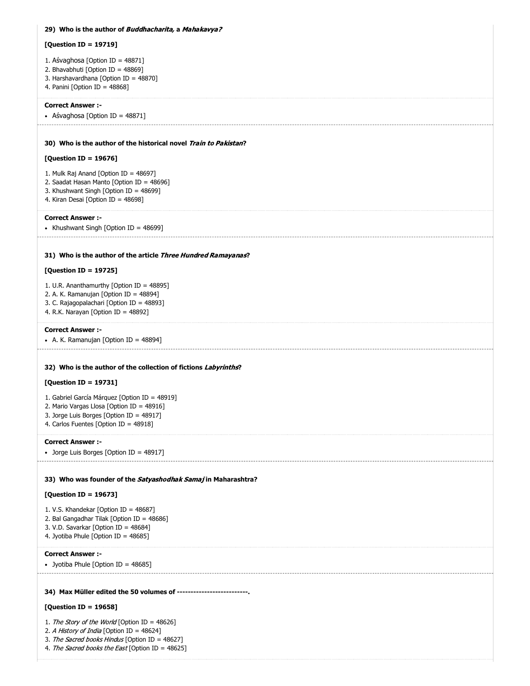| 29) Who is the author of <i>Buddhacharita</i> , a <i>Mahakavya?</i>                                                                                                     |
|-------------------------------------------------------------------------------------------------------------------------------------------------------------------------|
| [Question ID = 19719]                                                                                                                                                   |
| 1. Aśvaghosa [Option ID = $48871$ ]<br>2. Bhavabhuti [Option ID = 48869]<br>3. Harshavardhana [Option ID = 48870]<br>4. Panini [Option ID = 48868]                      |
| <b>Correct Answer :-</b>                                                                                                                                                |
| • Aśvaghosa [Option ID = 48871]                                                                                                                                         |
| 30) Who is the author of the historical novel Train to Pakistan?                                                                                                        |
| [Question ID = 19676]                                                                                                                                                   |
| 1. Mulk Raj Anand [Option ID = $48697$ ]<br>2. Saadat Hasan Manto [Option ID = 48696]<br>3. Khushwant Singh [Option ID = 48699]<br>4. Kiran Desai [Option ID = 48698]   |
| <b>Correct Answer :-</b><br>• Khushwant Singh [Option ID = 48699]                                                                                                       |
| 31) Who is the author of the article <i>Three Hundred Ramayanas</i> ?                                                                                                   |
| [Question ID = 19725]                                                                                                                                                   |
| 1. U.R. Ananthamurthy [Option ID = 48895]<br>2. A. K. Ramanujan [Option ID = 48894]<br>3. C. Rajagopalachari [Option ID = 48893]<br>4. R.K. Narayan [Option ID = 48892] |
| <b>Correct Answer :-</b>                                                                                                                                                |
| • A. K. Ramanujan [Option ID = 48894]                                                                                                                                   |
| 32) Who is the author of the collection of fictions Labyrinths?<br>[Question ID = 19731]                                                                                |
| 1. Gabriel García Márquez [Option ID = 48919]                                                                                                                           |
| 2. Mario Vargas Llosa [Option ID = 48916]                                                                                                                               |
| 3. Jorge Luis Borges [Option ID = 48917]<br>4. Carlos Fuentes [Option ID = 48918]                                                                                       |
| <b>Correct Answer :-</b>                                                                                                                                                |
| • Jorge Luis Borges [Option ID = 48917]                                                                                                                                 |
| 33) Who was founder of the Satyashodhak Samaj in Maharashtra?                                                                                                           |
| [Question ID = 19673]                                                                                                                                                   |
| 1. V.S. Khandekar [Option ID = 48687]<br>2. Bal Gangadhar Tilak [Option ID = 48686]<br>3. V.D. Savarkar [Option ID = 48684]<br>4. Jyotiba Phule [Option ID = 48685]     |
| <b>Correct Answer:-</b><br>• Jyotiba Phule [Option ID = 48685]                                                                                                          |
|                                                                                                                                                                         |
| 34) Max Müller edited the 50 volumes of --------------------------.                                                                                                     |
| [Question ID = 19658]                                                                                                                                                   |
| 1. The Story of the World [Option ID = 48626]<br>2. A History of India [Option ID = 48624]                                                                              |

3. The Sacred books Hindus [Option ID = 48627]

4. The Sacred books the East [Option ID = 48625]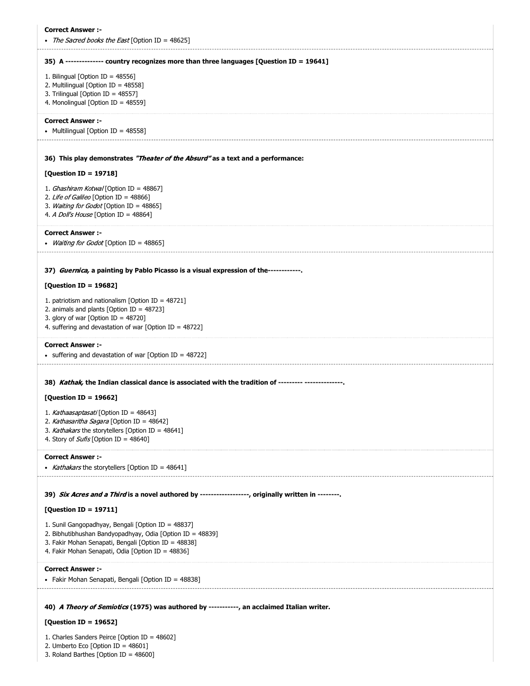| <b>Correct Answer :-</b><br><i>The Sacred books the East</i> [Option ID = 48625]                                                                                                                                             |
|------------------------------------------------------------------------------------------------------------------------------------------------------------------------------------------------------------------------------|
| 35) A -------------- country recognizes more than three languages [Question ID = 19641]                                                                                                                                      |
| 1. Bilingual [Option ID = 48556]<br>2. Multilingual [Option ID = 48558]<br>3. Trilingual [Option ID = 48557]<br>4. Monolingual [Option ID = 48559]                                                                           |
| <b>Correct Answer:-</b><br>• Multilingual [Option ID = 48558]                                                                                                                                                                |
| 36) This play demonstrates "Theater of the Absurd" as a text and a performance:                                                                                                                                              |
| [Question ID = 19718]                                                                                                                                                                                                        |
| 1. <i>Ghashiram Kotwal</i> [Option ID = 48867]<br>2. Life of Galileo [Option ID = 48866]<br>3. Waiting for Godot [Option ID = 48865]<br>4. A Doll's House [Option ID = 48864]                                                |
| <b>Correct Answer :-</b><br>• <i>Waiting for Godot</i> [Option ID = 48865]                                                                                                                                                   |
| 37) Guernica, a painting by Pablo Picasso is a visual expression of the------------                                                                                                                                          |
| [Question ID = 19682]                                                                                                                                                                                                        |
| 1. patriotism and nationalism [Option ID = 48721]<br>2. animals and plants [Option ID = $48723$ ]<br>3. glory of war [Option ID = $48720$ ]<br>4. suffering and devastation of war [Option ID = $48722$ ]                    |
| <b>Correct Answer :-</b><br>• suffering and devastation of war [Option ID = 48722]                                                                                                                                           |
| 38) Kathak, the Indian classical dance is associated with the tradition of --------- --------------                                                                                                                          |
| [Question ID = 19662]                                                                                                                                                                                                        |
| 1. Kathaasaptasati [Option ID = 48643]<br>2. Kathasaritha Sagara [Option ID = 48642]<br>3. Kathakars the storytellers [Option ID = 48641]<br>4. Story of <i>Sufis</i> [Option ID = 48640]                                    |
| <b>Correct Answer :-</b>                                                                                                                                                                                                     |
| • Kathakars the storytellers [Option ID = 48641]<br>--------------------------                                                                                                                                               |
| 39) Six Acres and a Third is a novel authored by -----------------, originally written in -------.                                                                                                                           |
| [Question ID = 19711]                                                                                                                                                                                                        |
| 1. Sunil Gangopadhyay, Bengali [Option ID = 48837]<br>2. Bibhutibhushan Bandyopadhyay, Odia [Option ID = 48839]<br>3. Fakir Mohan Senapati, Bengali [Option ID = 48838]<br>4. Fakir Mohan Senapati, Odia [Option ID = 48836] |
| <b>Correct Answer:-</b><br>• Fakir Mohan Senapati, Bengali [Option ID = 48838]                                                                                                                                               |
| 40) A Theory of Semiotics (1975) was authored by -----------, an acclaimed Italian writer.<br>[Question ID = 19652]                                                                                                          |

1. Charles Sanders Peirce [Option ID = 48602]

2. Umberto Eco [Option ID = 48601]

3. Roland Barthes [Option ID = 48600]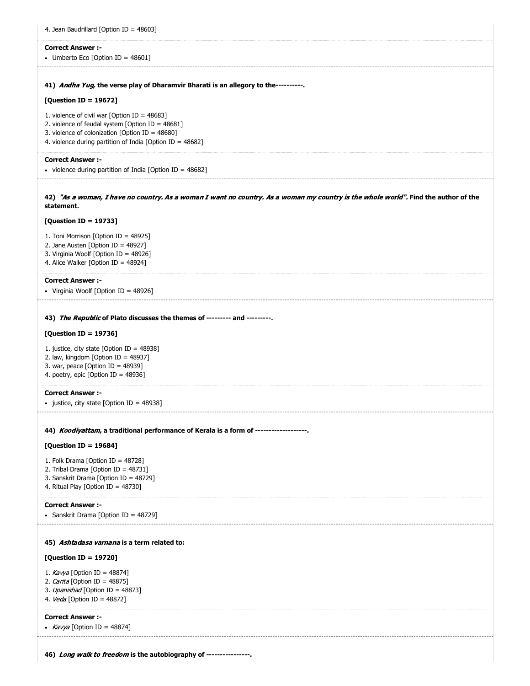| 4. Jean Baudrillard [Option ID = 48603]                                                                                                                                                                                                                                    |
|----------------------------------------------------------------------------------------------------------------------------------------------------------------------------------------------------------------------------------------------------------------------------|
| <b>Correct Answer:-</b><br>• Umberto Eco [Option ID = $48601$ ]                                                                                                                                                                                                            |
| 41) Andha Yug, the verse play of Dharamvir Bharati is an allegory to the----------                                                                                                                                                                                         |
| [Question ID = 19672]<br>1. violence of civil war [Option ID = $48683$ ]<br>2. violence of feudal system [Option ID = $48681$ ]<br>3. violence of colonization [Option ID = 48680]<br>4. violence during partition of India [Option ID = 48682]                            |
| <b>Correct Answer :-</b><br>• violence during partition of India [Option ID = $48682$ ]                                                                                                                                                                                    |
| 42) "As a woman, I have no country. As a woman I want no country. As a woman my country is the whole world". Find the author of the<br>statement.                                                                                                                          |
| [Question ID = 19733]                                                                                                                                                                                                                                                      |
| 1. Toni Morrison [Option ID = 48925]<br>2. Jane Austen [Option ID = 48927]<br>3. Virginia Woolf [Option ID = 48926]<br>4. Alice Walker [Option ID = 48924]                                                                                                                 |
| <b>Correct Answer:-</b><br>• Virginia Woolf [Option ID = 48926]                                                                                                                                                                                                            |
| 43) The Republic of Plato discusses the themes of --------- and ---------.<br>[Question ID = 19736]<br>1. justice, city state [Option ID = $48938$ ]<br>2. law, kingdom [Option ID = 48937]<br>3. war, peace [Option ID = $48939$ ]<br>4. poetry, epic [Option ID = 48936] |
| <b>Correct Answer :-</b><br>• justice, city state [Option ID = 48938]                                                                                                                                                                                                      |
| 44) Koodiyattam, a traditional performance of Kerala is a form of -------------------                                                                                                                                                                                      |
| [Question ID = 19684]<br>1. Folk Drama [Option ID = 48728]<br>2. Tribal Drama [Option ID = 48731]<br>3. Sanskrit Drama [Option ID = 48729]<br>4. Ritual Play [Option ID = 48730]                                                                                           |
| <b>Correct Answer :-</b><br>• Sanskrit Drama [Option ID = 48729]                                                                                                                                                                                                           |
| 45) Ashtadasa varnana is a term related to:<br>[Question ID = 19720]<br>1. Kavya [Option ID = 48874]<br>2. Carita [Option ID = 48875]<br>3. Upanishad [Option ID = 48873]<br>4. Veda [Option ID = 48872]                                                                   |
| <b>Correct Answer :-</b><br>• <i>Kavya</i> [Option ID = 48874]                                                                                                                                                                                                             |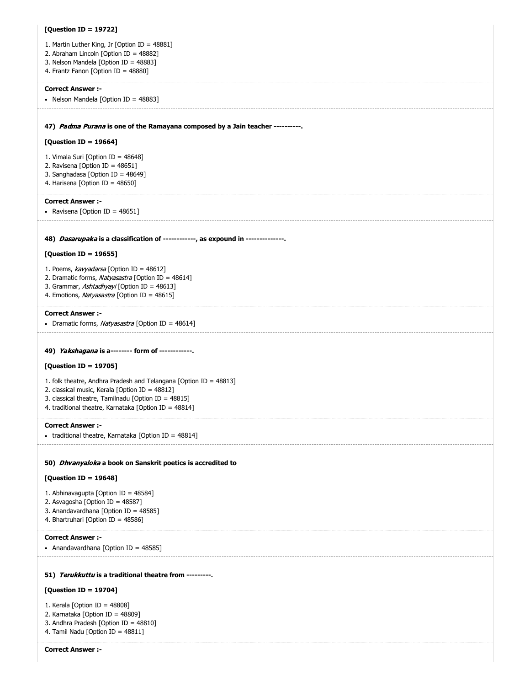| [Question ID = 19722]                                                                                        |
|--------------------------------------------------------------------------------------------------------------|
| 1. Martin Luther King, Jr [Option ID = 48881]                                                                |
| 2. Abraham Lincoln [Option ID = 48882]                                                                       |
| 3. Nelson Mandela [Option ID = 48883]<br>4. Frantz Fanon [Option ID = 48880]                                 |
|                                                                                                              |
| <b>Correct Answer :-</b><br>• Nelson Mandela [Option ID = 48883]                                             |
|                                                                                                              |
|                                                                                                              |
| 47) Padma Purana is one of the Ramayana composed by a Jain teacher ----------.                               |
| [Question ID = 19664]                                                                                        |
| 1. Vimala Suri [Option ID = 48648]                                                                           |
| 2. Ravisena [Option ID = 48651]<br>3. Sanghadasa [Option ID = 48649]                                         |
| 4. Harisena [Option ID = 48650]                                                                              |
| <b>Correct Answer:-</b>                                                                                      |
| • Ravisena [Option ID = $48651$ ]                                                                            |
|                                                                                                              |
| 48) Dasarupaka is a classification of ------------, as expound in --------------                             |
| [Question ID = 19655]                                                                                        |
|                                                                                                              |
| 1. Poems, kavyadarsa [Option ID = 48612]<br>2. Dramatic forms, Natyasastra [Option ID = 48614]               |
| 3. Grammar, Ashtadhyayi [Option ID = 48613]                                                                  |
| 4. Emotions, Natyasastra [Option ID = 48615]                                                                 |
| <b>Correct Answer :-</b>                                                                                     |
| • Dramatic forms, Natyasastra [Option ID = 48614]                                                            |
|                                                                                                              |
| 49) Yakshagana is a-------- form of -----------.                                                             |
| [Question ID = 19705]                                                                                        |
| 1. folk theatre, Andhra Pradesh and Telangana [Option ID = 48813]                                            |
| 2. classical music, Kerala [Option ID = 48812]                                                               |
| 3. classical theatre, Tamilnadu [Option ID = 48815]<br>4. traditional theatre, Karnataka [Option ID = 48814] |
|                                                                                                              |
| <b>Correct Answer :-</b>                                                                                     |
| • traditional theatre, Karnataka [Option ID = $48814$ ]                                                      |
|                                                                                                              |
| 50) Dhvanyaloka a book on Sanskrit poetics is accredited to                                                  |
| [Question ID = 19648]                                                                                        |
| 1. Abhinavagupta [Option ID = 48584]                                                                         |
| 2. Asvagosha [Option ID = 48587]<br>3. Anandavardhana [Option ID = 48585]                                    |
| 4. Bhartruhari [Option ID = 48586]                                                                           |
| <b>Correct Answer :-</b>                                                                                     |
| • Anandavardhana [Option ID = 48585]                                                                         |
|                                                                                                              |
| 51) Terukkuttu is a traditional theatre from ---------                                                       |
| [Question ID = 19704]                                                                                        |
| 1. Kerala [Option ID = $48808$ ]                                                                             |
| 2. Karnataka [Option ID = 48809]                                                                             |

- 3. Andhra Pradesh [Option ID = 48810]
- 4. Tamil Nadu [Option ID = 48811]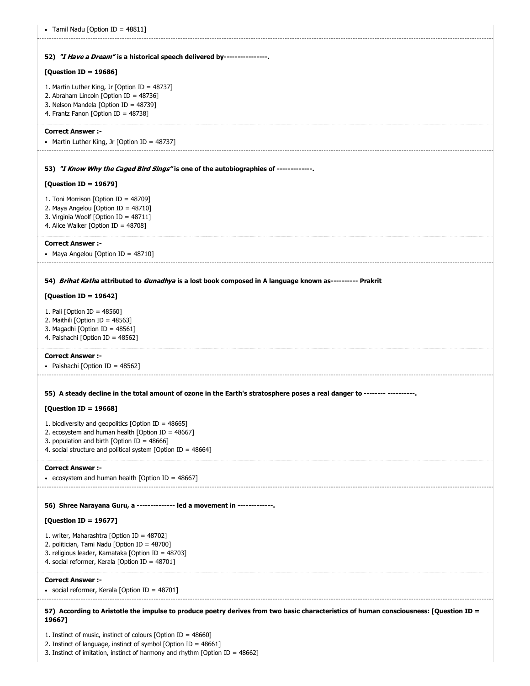```
52) 
"I Have a Dream" is a historical speech delivered by----------------.
53) 
"I Know Why the Caged Bird Sings" is one of the autobiographies of -------------.
54) 
Brihat Katha attributed to Gunadhya is a lost book composed in A language known as---------- Prakrit
55) 
A steady decline in the total amount of ozone in the Earth's stratosphere poses a real danger to -------- ----------.
56) 
Shree Narayana Guru, a -------------- led a movement in -------------.
57) 
According to Aristotle the impulse to produce poetry derives from two basic characteristics of human consciousness: [Question ID =
• Tamil Nadu [Option ID = 48811]
[Question ID = 19686]
1. Martin Luther King, Jr [Option ID = 48737]
2. Abraham Lincoln [Option ID = 48736]
3. Nelson Mandela [Option ID = 48739]
4. Frantz Fanon [Option ID = 48738]
Correct Answer :-
• Martin Luther King, Jr [Option ID = 48737][Question ID = 19679]
1. Toni Morrison [Option ID = 48709]
2. Maya Angelou [Option ID = 48710]
3. Virginia Woolf [Option ID = 48711]
4. Alice Walker [Option ID = 48708]
Correct Answer :-
• Maya Angelou [Option ID = 48710]
[Question ID = 19642]
1. Pali [Option ID = 48560]
2. Maithili [Option ID = 48563]
3. Magadhi [Option ID = 48561]
4. Paishachi [Option ID = 48562]
Correct Answer :-
• Paishachi [Option ID = 48562]
[Question ID = 19668]
1. biodiversity and geopolitics [Option ID = 48665]
2. ecosystem and human health [Option ID = 48667]3. population and birth [Option ID = 48666]
4. social structure and political system [Option ID = 48664]
Correct Answer :-
ecosystem and human health [Option ID = 48667]
[Question ID = 19677]
1. writer, Maharashtra [Option ID = 48702]
2. politician, Tami Nadu [Option ID = 48700]
3. religious leader, Karnataka [Option ID = 48703]
4. social reformer, Kerala [Option ID = 48701]
Correct Answer :-
social reformer, Kerala [Option ID = 48701]
19667]
1. Instinct of music, instinct of colours [Option ID = 48660]
```
2. Instinct of language, instinct of symbol [Option ID = 48661]

3. Instinct of imitation, instinct of harmony and rhythm [Option ID = 48662]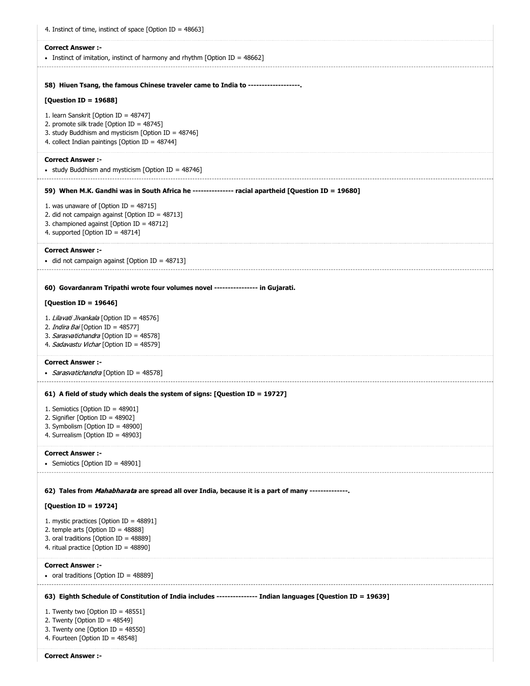| 4. Instinct of time, instinct of space [Option ID = $48663$ ]                                                                                                                                |
|----------------------------------------------------------------------------------------------------------------------------------------------------------------------------------------------|
| <b>Correct Answer :-</b><br>• Instinct of imitation, instinct of harmony and rhythm [Option ID = 48662]                                                                                      |
| 58) Hiuen Tsang, the famous Chinese traveler came to India to ------------------.                                                                                                            |
| [Question ID = 19688]                                                                                                                                                                        |
| 1. learn Sanskrit [Option ID = 48747]<br>2. promote silk trade [Option ID = 48745]<br>3. study Buddhism and mysticism [Option ID = 48746]<br>4. collect Indian paintings [Option ID = 48744] |
| <b>Correct Answer :-</b><br>• study Buddhism and mysticism [Option ID = 48746]                                                                                                               |
| 59) When M.K. Gandhi was in South Africa he --------------- racial apartheid [Question ID = 19680]                                                                                           |
| 1. was unaware of [Option ID = $48715$ ]<br>2. did not campaign against [Option ID = 48713]<br>3. championed against [Option ID = 48712]<br>4. supported [Option ID = 48714]                 |
| <b>Correct Answer:-</b><br>• did not campaign against [Option ID = 48713]                                                                                                                    |
| 60) Govardanram Tripathi wrote four volumes novel ---------------- in Gujarati.                                                                                                              |
| [Question ID = 19646]                                                                                                                                                                        |
| 1. Lilavati Jivankala [Option ID = 48576]<br>2. <i>Indira Bai</i> [Option ID = 48577]<br>3. Sarasvatichandra [Option ID = 48578]<br>4. Sadavastu Vichar [Option ID = 48579]                  |
| <b>Correct Answer:-</b><br>• Sarasvatichandra [Option ID = 48578]                                                                                                                            |
| 61) A field of study which deals the system of signs: [Question ID = 19727]                                                                                                                  |
| 1. Semiotics [Option ID = $48901$ ]<br>2. Signifier [Option ID = 48902]<br>3. Symbolism [Option ID = 48900]<br>4. Surrealism [Option ID = 48903]                                             |
| <b>Correct Answer:-</b><br>• Semiotics [Option ID = 48901]                                                                                                                                   |
| 62) Tales from <i>Mahabharata</i> are spread all over India, because it is a part of many --------------                                                                                     |
| [Question ID = 19724]                                                                                                                                                                        |
| 1. mystic practices [Option ID = $48891$ ]<br>2. temple arts [Option ID = $48888$ ]<br>3. oral traditions [Option ID = 48889]<br>4. ritual practice [Option ID = 48890]                      |
| <b>Correct Answer:-</b><br>• oral traditions [Option ID = 48889]                                                                                                                             |
| 63) Eighth Schedule of Constitution of India includes --------------- Indian languages [Question ID = 19639]                                                                                 |
| 1. Twenty two [Option ID = $48551$ ]<br>2. Twenty [Option ID = $48549$ ]<br>3. Twenty one [Option ID = 48550]<br>4. Fourteen [Option ID = 48548]                                             |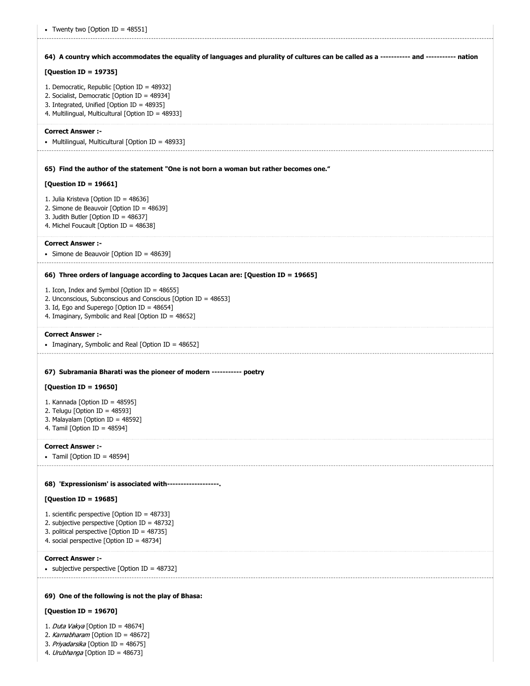| • Twenty two [Option ID = $48551$ ]                                                                                                                                                                                   |
|-----------------------------------------------------------------------------------------------------------------------------------------------------------------------------------------------------------------------|
| 64) A country which accommodates the equality of languages and plurality of cultures can be called as a ----------- and ----------- nation                                                                            |
| [Question ID = 19735]                                                                                                                                                                                                 |
| 1. Democratic, Republic [Option ID = 48932]<br>2. Socialist, Democratic [Option ID = 48934]<br>3. Integrated, Unified [Option ID = 48935]<br>4. Multilingual, Multicultural [Option ID = 48933]                       |
| <b>Correct Answer :-</b><br>• Multilingual, Multicultural [Option ID = 48933]                                                                                                                                         |
| 65) Find the author of the statement "One is not born a woman but rather becomes one."                                                                                                                                |
| [Question ID = 19661]                                                                                                                                                                                                 |
| 1. Julia Kristeva [Option ID = 48636]<br>2. Simone de Beauvoir [Option ID = 48639]<br>3. Judith Butler [Option ID = 48637]<br>4. Michel Foucault [Option ID = 48638]                                                  |
| <b>Correct Answer :-</b><br>• Simone de Beauvoir [Option ID = 48639]                                                                                                                                                  |
| 66) Three orders of language according to Jacques Lacan are: [Question ID = 19665]                                                                                                                                    |
| 1. Icon, Index and Symbol [Option ID = 48655]<br>2. Unconscious, Subconscious and Conscious [Option ID = 48653]<br>3. Id, Ego and Superego [Option ID = 48654]<br>4. Imaginary, Symbolic and Real [Option ID = 48652] |
| <b>Correct Answer :-</b><br>• Imaginary, Symbolic and Real [Option ID = 48652]                                                                                                                                        |
| 67) Subramania Bharati was the pioneer of modern ----------- poetry                                                                                                                                                   |
| [Question ID = 19650]                                                                                                                                                                                                 |
| 1. Kannada [Option ID = 48595]<br>2. Telugu [Option ID = $48593$ ]<br>3. Malayalam [Option ID = 48592]<br>4. Tamil [Option ID = $48594$ ]                                                                             |
| <b>Correct Answer :-</b><br>• Tamil [Option ID = 48594]                                                                                                                                                               |
| 68) 'Expressionism' is associated with------------------.                                                                                                                                                             |
| [Question ID = 19685]                                                                                                                                                                                                 |
| 1. scientific perspective [Option ID = 48733]<br>2. subjective perspective [Option ID = 48732]<br>3. political perspective [Option ID = 48735]<br>4. social perspective [Option ID = 48734]                           |
| <b>Correct Answer :-</b><br>• subjective perspective [Option ID = $48732$ ]                                                                                                                                           |
| 69) One of the following is not the play of Bhasa:                                                                                                                                                                    |
| [Question ID = 19670]                                                                                                                                                                                                 |

1. Duta Vakya [Option ID = 48674]

2. Karnabharam [Option ID = 48672]

3. Priyadarsika [Option ID =  $48675$ ]

4. Urubhanga [Option ID = 48673]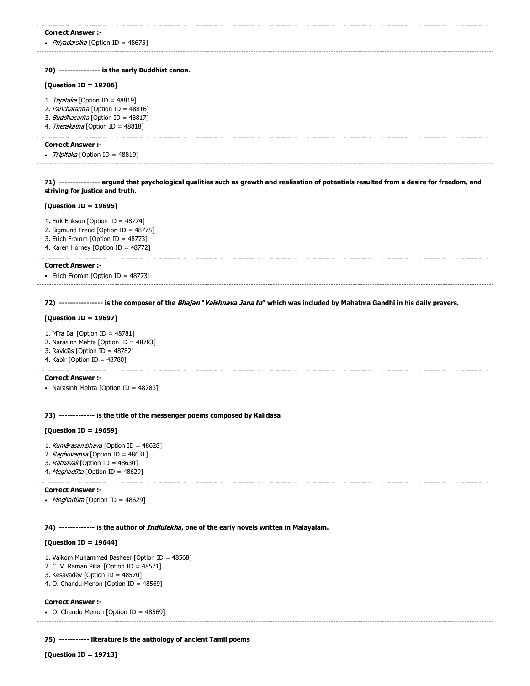| <b>Correct Answer:-</b><br>• Priyadarsika [Option ID = 48675]                                                                                                                   |
|---------------------------------------------------------------------------------------------------------------------------------------------------------------------------------|
|                                                                                                                                                                                 |
| 70) --------------- is the early Buddhist canon.                                                                                                                                |
| [Question ID = 19706]                                                                                                                                                           |
| 1. Tripitaka [Option ID = 48819]<br>2. Panchatantra [Option ID = 48816]<br>3. Buddhacarita [Option ID = 48817]<br>4. Therakatha [Option ID = 48818]                             |
| <b>Correct Answer:-</b><br>• Tripitaka [Option ID = 48819]                                                                                                                      |
| 71) --------------- argued that psychological qualities such as growth and realisation of potentials resulted from a desire for freedom, and<br>striving for justice and truth. |
| [Question ID = 19695]                                                                                                                                                           |
| 1. Erik Erikson [Option ID = 48774]<br>2. Sigmund Freud [Option ID = 48775]<br>3. Erich Fromm [Option ID = 48773]<br>4. Karen Horney [Option ID = 48772]                        |
| <b>Correct Answer:-</b><br>• Erich Fromm [Option ID = 48773]                                                                                                                    |
| 72) ---------------- is the composer of the Bhajan" Vaishnava Jana to" which was included by Mahatma Gandhi in his daily prayers.                                               |
| [Question ID = 19697]                                                                                                                                                           |
| 1. Mīra Bai [Option ID = 48781]<br>2. Narasinh Mehta [Option ID = 48783]<br>3. Ravidās [Option ID = 48782]<br>4. Kabīr [Option ID = $48780$ ]                                   |
| <b>Correct Answer:-</b><br>• Narasinh Mehta [Option ID = 48783]                                                                                                                 |
| 73) ------------- is the title of the messenger poems composed by Kalidasa                                                                                                      |
| [Question ID = 19659]                                                                                                                                                           |
| 1. Kumārasambhava [Option ID = 48628]<br>2. Raghuvamsa [Option ID = 48631]<br>3. Ratnavali [Option ID = 48630]<br>4. Meghadūta [Option ID = 48629]                              |
| <b>Correct Answer :-</b>                                                                                                                                                        |
| • <i>Meghadūta</i> [Option ID = 48629]                                                                                                                                          |
| 74) ------------- is the author of <i>Indlulekha</i> , one of the early novels written in Malayalam.                                                                            |
| [Question ID = 19644]                                                                                                                                                           |
| 1. Vaikom Muhammed Basheer [Option ID = 48568]<br>2. C. V. Raman Pillai [Option ID = 48571]<br>3. Kesavadev [Option ID = 48570]<br>4. O. Chandu Menon [Option ID = 48569]       |
| <b>Correct Answer :-</b><br>• O. Chandu Menon [Option ID = 48569]<br>-------------------                                                                                        |
| 75) ----------- literature is the anthology of ancient Tamil poems                                                                                                              |
| [Question ID = 19713]                                                                                                                                                           |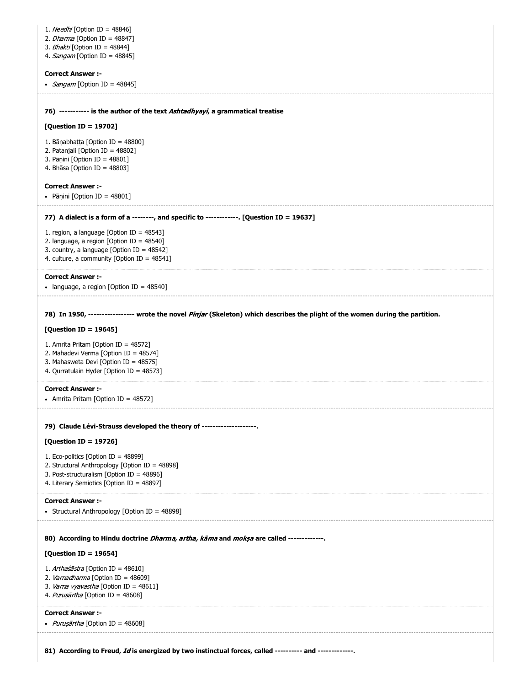| 1. Needhi [Option ID = 48846]<br>2. <i>Dharma</i> [Option ID = 48847]<br>3. Bhakti [Option ID = 48844]<br>4. Sangam [Option ID = 48845]                                                                                                                                                                                                                                                         |
|-------------------------------------------------------------------------------------------------------------------------------------------------------------------------------------------------------------------------------------------------------------------------------------------------------------------------------------------------------------------------------------------------|
| <b>Correct Answer :-</b><br>• Sangam [Option ID = 48845]                                                                                                                                                                                                                                                                                                                                        |
| 76) ----------- is the author of the text Ashtadhyayi, a grammatical treatise<br>[Question ID = 19702]<br>1. Bānabhatta [Option ID = 48800]<br>2. Patanjali [Option ID = 48802]<br>3. Pāņini [Option ID = 48801]<br>4. Bhāsa [Option ID = 48803]                                                                                                                                                |
| <b>Correct Answer :-</b><br>• Pāṇini [Option ID = 48801]                                                                                                                                                                                                                                                                                                                                        |
| 77) A dialect is a form of a --------, and specific to ------------. [Question ID = 19637]<br>1. region, a language [Option ID = $48543$ ]<br>2. language, a region [Option ID = 48540]<br>3. country, a language [Option ID = 48542]<br>4. culture, a community [Option ID = 48541]                                                                                                            |
| <b>Correct Answer :-</b><br>• language, a region [Option ID = $48540$ ]                                                                                                                                                                                                                                                                                                                         |
| 78) In 1950, ----------------- wrote the novel Pinjar (Skeleton) which describes the plight of the women during the partition.<br>[Question ID = 19645]<br>1. Amrita Pritam [Option ID = 48572]<br>2. Mahadevi Verma [Option ID = 48574]<br>3. Mahasweta Devi [Option ID = 48575]<br>4. Qurratulain Hyder [Option ID = 48573]<br><b>Correct Answer:-</b><br>• Amrita Pritam [Option ID = 48572] |
| 79) Claude Lévi-Strauss developed the theory of --------------------.                                                                                                                                                                                                                                                                                                                           |
| [Question ID = 19726]<br>1. Eco-politics [Option ID = 48899]<br>2. Structural Anthropology [Option ID = 48898]<br>3. Post-structuralism [Option ID = 48896]<br>4. Literary Semiotics [Option ID = 48897]                                                                                                                                                                                        |
| <b>Correct Answer :-</b><br>• Structural Anthropology [Option ID = 48898]                                                                                                                                                                                                                                                                                                                       |
| 80) According to Hindu doctrine <i>Dharma, artha, kama</i> and <i>moksa</i> are called -------------<br>[Question ID = 19654]<br>1. Arthaśāstra [Option ID = 48610]<br>2. Varnadharma [Option ID = 48609]<br>3. Varna vyavastha [Option ID = 48611]<br>4. Purușārtha [Option ID = 48608]                                                                                                        |
| <b>Correct Answer :-</b><br>• <i>Puruṣārtha</i> [Option ID = 48608]                                                                                                                                                                                                                                                                                                                             |
| 81) According to Freud, Id is energized by two instinctual forces, called ---------- and -------------.                                                                                                                                                                                                                                                                                         |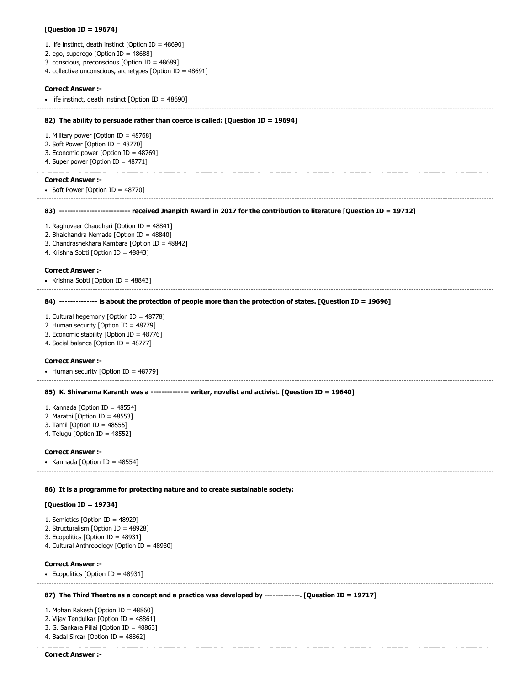| [Question ID = 19674]                                                                                                   |
|-------------------------------------------------------------------------------------------------------------------------|
| 1. life instinct, death instinct [Option ID = 48690]                                                                    |
| 2. ego, superego [Option ID = 48688]                                                                                    |
| 3. conscious, preconscious [Option ID = 48689]<br>4. collective unconscious, archetypes [Option ID = 48691]             |
|                                                                                                                         |
| <b>Correct Answer:-</b>                                                                                                 |
| • life instinct, death instinct [Option ID = 48690]                                                                     |
| 82) The ability to persuade rather than coerce is called: [Question ID = 19694]                                         |
| 1. Military power [Option ID = 48768]                                                                                   |
| 2. Soft Power [Option ID = 48770]                                                                                       |
| 3. Economic power [Option ID = 48769]                                                                                   |
| 4. Super power [Option ID = $48771$ ]                                                                                   |
| <b>Correct Answer:-</b>                                                                                                 |
| • Soft Power [Option ID = 48770]                                                                                        |
|                                                                                                                         |
| 83) -------------------------- received Jnanpith Award in 2017 for the contribution to literature [Question ID = 19712] |
| 1. Raghuveer Chaudhari [Option ID = 48841]                                                                              |
| 2. Bhalchandra Nemade [Option ID = 48840]                                                                               |
| 3. Chandrashekhara Kambara [Option ID = 48842]<br>4. Krishna Sobti [Option ID = 48843]                                  |
|                                                                                                                         |
| <b>Correct Answer :-</b>                                                                                                |
| • Krishna Sobti [Option ID = 48843]                                                                                     |
| 84) -------------- is about the protection of people more than the protection of states. [Question ID = 19696]          |
| 1. Cultural hegemony [Option ID = 48778]                                                                                |
| 2. Human security [Option ID = 48779]                                                                                   |
| 3. Economic stability [Option ID = 48776]                                                                               |
| 4. Social balance [Option ID = 48777]                                                                                   |
| <b>Correct Answer :-</b>                                                                                                |
| • Human security [Option ID = 48779]                                                                                    |
| 85) K. Shivarama Karanth was a -------------- writer, novelist and activist. [Question ID = 19640]                      |
| 1. Kannada [Option ID = 48554]                                                                                          |
| 2. Marathi [Option ID = 48553]                                                                                          |
| 3. Tamil [Option ID = 48555]<br>4. Telugu [Option ID = $48552$ ]                                                        |
|                                                                                                                         |
| <b>Correct Answer :-</b>                                                                                                |
| • Kannada [Option ID = 48554]                                                                                           |
|                                                                                                                         |
| 86) It is a programme for protecting nature and to create sustainable society:                                          |
| [Question ID = 19734]                                                                                                   |
| 1. Semiotics [Option ID = 48929]                                                                                        |
| 2. Structuralism [Option ID = 48928]<br>3. Ecopolitics [Option ID = 48931]                                              |
| 4. Cultural Anthropology [Option ID = 48930]                                                                            |
|                                                                                                                         |
| <b>Correct Answer :-</b>                                                                                                |
| • Ecopolitics [Option ID = $48931$ ]                                                                                    |
| 87) The Third Theatre as a concept and a practice was developed by -------------. [Question ID = 19717]                 |
| 1. Mohan Rakesh [Option ID = 48860]                                                                                     |
| 2. Vijay Tendulkar [Option ID = 48861]<br>3. G. Sankara Pillai [Option ID = 48863]                                      |
| 4. Badal Sircar [Option ID = 48862]                                                                                     |
|                                                                                                                         |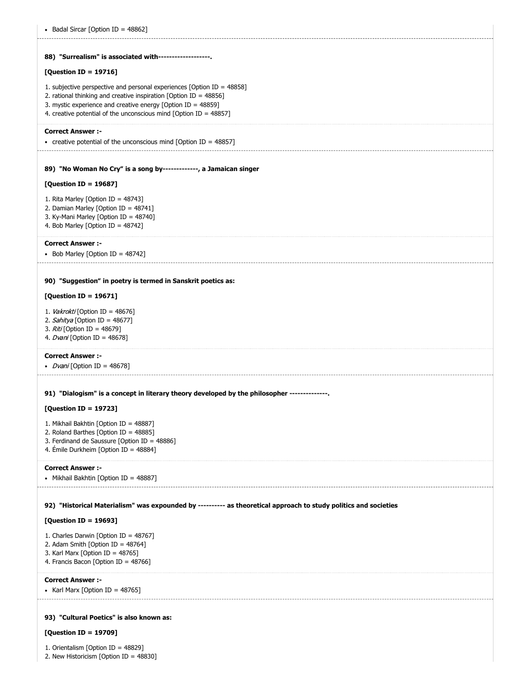| • Badal Sircar [Option ID = 48862]                                                                                                                                                                                                                                                        |
|-------------------------------------------------------------------------------------------------------------------------------------------------------------------------------------------------------------------------------------------------------------------------------------------|
|                                                                                                                                                                                                                                                                                           |
| 88) "Surrealism" is associated with-------------------.                                                                                                                                                                                                                                   |
| [Question ID = 19716]                                                                                                                                                                                                                                                                     |
| 1. subjective perspective and personal experiences [Option ID = $48858$ ]<br>2. rational thinking and creative inspiration [Option ID = $48856$ ]<br>3. mystic experience and creative energy [Option ID = $48859$ ]<br>4. creative potential of the unconscious mind [Option ID = 48857] |
| <b>Correct Answer :-</b>                                                                                                                                                                                                                                                                  |
| • creative potential of the unconscious mind [Option ID = $48857$ ]                                                                                                                                                                                                                       |
| 89) "No Woman No Cry" is a song by-------------, a Jamaican singer                                                                                                                                                                                                                        |
| [Question ID = 19687]                                                                                                                                                                                                                                                                     |
| 1. Rita Marley [Option ID = 48743]<br>2. Damian Marley [Option ID = 48741]<br>3. Ky-Mani Marley [Option ID = 48740]<br>4. Bob Marley [Option ID = 48742]                                                                                                                                  |
| <b>Correct Answer :-</b><br>• Bob Marley [Option ID = 48742]                                                                                                                                                                                                                              |
|                                                                                                                                                                                                                                                                                           |
| 90) "Suggestion" in poetry is termed in Sanskrit poetics as:                                                                                                                                                                                                                              |
| [Question ID = 19671]                                                                                                                                                                                                                                                                     |
| 1. Vakrokti [Option ID = 48676]<br>2. Sahitya [Option ID = 48677]<br>3. Riti [Option ID = 48679]<br>4. <i>Dvani</i> [Option ID = 48678]                                                                                                                                                   |
| <b>Correct Answer:-</b><br>• <i>Dvani</i> [Option ID = 48678]                                                                                                                                                                                                                             |
|                                                                                                                                                                                                                                                                                           |
| 91) "Dialogism" is a concept in literary theory developed by the philosopher --------------                                                                                                                                                                                               |
| [Question ID = 19723]                                                                                                                                                                                                                                                                     |
| 1. Mikhail Bakhtin [Option ID = 48887]<br>2. Roland Barthes [Option ID = $48885$ ]                                                                                                                                                                                                        |
| 3. Ferdinand de Saussure [Option ID = 48886]                                                                                                                                                                                                                                              |
| 4. Émile Durkheim [Option ID = 48884]                                                                                                                                                                                                                                                     |
| <b>Correct Answer:-</b><br>• Mikhail Bakhtin [Option ID = 48887]                                                                                                                                                                                                                          |
| 92) "Historical Materialism" was expounded by --------- as theoretical approach to study politics and societies                                                                                                                                                                           |
| [Question ID = 19693]                                                                                                                                                                                                                                                                     |
| 1. Charles Darwin [Option ID = 48767]<br>2. Adam Smith [Option ID = 48764]<br>3. Karl Marx [Option ID = 48765]<br>4. Francis Bacon [Option ID = 48766]                                                                                                                                    |
| <b>Correct Answer :-</b>                                                                                                                                                                                                                                                                  |
| • Karl Marx [Option ID = $48765$ ]                                                                                                                                                                                                                                                        |
|                                                                                                                                                                                                                                                                                           |
| 93) "Cultural Poetics" is also known as:                                                                                                                                                                                                                                                  |
| [Question ID = 19709]                                                                                                                                                                                                                                                                     |

1. Orientalism [Option ID = 48829]

```
2. New Historicism [Option ID = 48830]
```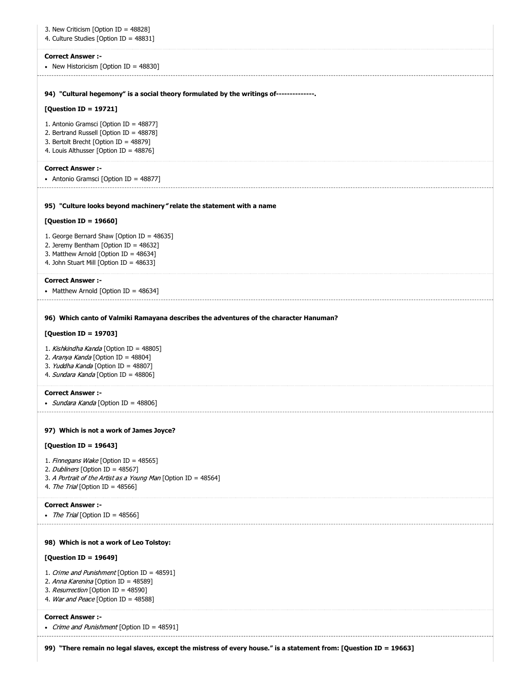| 3. New Criticism [Option ID = 48828]<br>4. Culture Studies [Option ID = 48831]                                                                                                         |
|----------------------------------------------------------------------------------------------------------------------------------------------------------------------------------------|
| <b>Correct Answer :-</b><br>• New Historicism [Option ID = $48830$ ]                                                                                                                   |
| 94) "Cultural hegemony" is a social theory formulated by the writings of--------------                                                                                                 |
| [Question ID = 19721]                                                                                                                                                                  |
| 1. Antonio Gramsci [Option ID = 48877]<br>2. Bertrand Russell [Option ID = 48878]<br>3. Bertolt Brecht [Option ID = 48879]<br>4. Louis Althusser [Option ID = 48876]                   |
| <b>Correct Answer:-</b><br>• Antonio Gramsci [Option ID = 48877]                                                                                                                       |
| 95) "Culture looks beyond machinery "relate the statement with a name                                                                                                                  |
| [Question ID = $19660$ ]                                                                                                                                                               |
| 1. George Bernard Shaw [Option ID = 48635]<br>2. Jeremy Bentham [Option ID = 48632]<br>3. Matthew Arnold [Option ID = 48634]<br>4. John Stuart Mill [Option ID = 48633]                |
| <b>Correct Answer:-</b><br>• Matthew Arnold [Option ID = 48634]                                                                                                                        |
| [Question ID = 19703]<br>1. Kishkindha Kanda [Option ID = 48805]<br>2. Aranya Kanda [Option ID = 48804]<br>3. Yuddha Kanda [Option ID = 48807]<br>4. Sundara Kanda [Option ID = 48806] |
| <b>Correct Answer :-</b><br>• Sundara Kanda [Option ID = 48806]                                                                                                                        |
| 97) Which is not a work of James Joyce?                                                                                                                                                |
| [Question ID = 19643]                                                                                                                                                                  |
| 1. Finnegans Wake [Option ID = 48565]<br>2. Dubliners [Option ID = 48567]<br>3. A Portrait of the Artist as a Young Man [Option ID = 48564]<br>4. The Trial [Option ID = 48566]        |
| <b>Correct Answer:-</b><br>• The Trial [Option ID = 48566]                                                                                                                             |
| 98) Which is not a work of Leo Tolstoy:                                                                                                                                                |
| [Question ID = 19649]                                                                                                                                                                  |
| 1. Crime and Punishment [Option ID = 48591]<br>2. Anna Karenina [Option ID = 48589]<br>3. Resurrection [Option ID = 48590]<br>4. War and Peace [Option ID = 48588]                     |
| <b>Correct Answer:-</b><br>• Crime and Punishment [Option ID = 48591]                                                                                                                  |
|                                                                                                                                                                                        |

**99) "There remain no legal slaves, except the mistress of every house." is a statement from: [Question ID = 19663]**